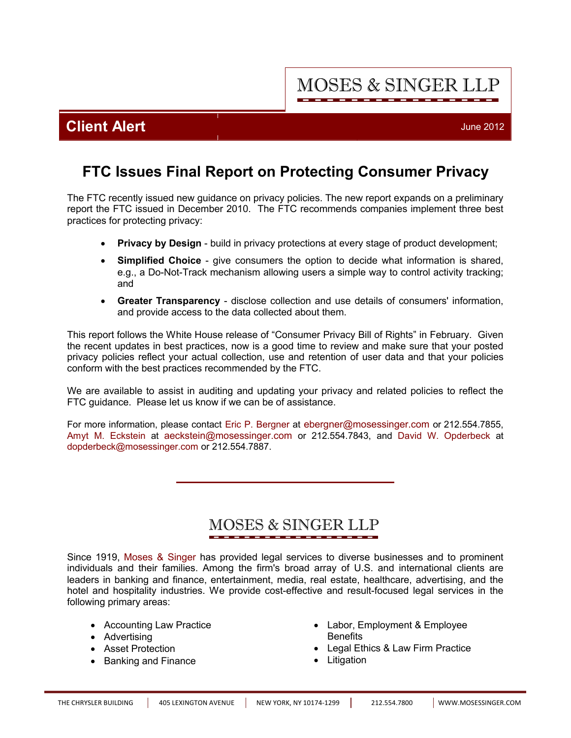**MOSES & SINGER LLP** 

## **Client Alert** June 2012

# **FTC Issues Final Report on Protecting Consumer Privacy**

The FTC recently issued new guidance on privacy policies. The new report expands on a preliminary report the FTC issued in December 2010. The FTC recommends companies implement three best practices for protecting privacy:

- **Privacy by Design** build in privacy protections at every stage of product development;
- · **Simplified Choice** give consumers the option to decide what information is shared, e.g., a Do-Not-Track mechanism allowing users a simple way to control activity tracking; and
- · **Greater Transparency** disclose collection and use details of consumers' information, and provide access to the data collected about them.

This report follows the White House release of "Consumer Privacy Bill of Rights" in February. Given the recent updates in best practices, now is a good time to review and make sure that your posted privacy policies reflect your actual collection, use and retention of user data and that your policies conform with the best practices recommended by the FTC.

We are available to assist in auditing and updating your privacy and related policies to reflect the FTC guidance. Please let us know if we can be of assistance.

For more information, please contact [Eric P. Bergner](http://www.mosessinger.com/personnel/ebergner/) at ebergner@mosessinger.com or 212.554.7855, [Amyt M. Eckstein](http://www.mosessinger.com/personnel/aeckstein/) at aeckstein@mosessinger.com or 212.554.7843, and [David W. Opderbeck](http://www.mosessinger.com/personnel/dopderbeck/) at dopderbeck@mosessinger.com or 212.554.7887.

# **MOSES & SINGER LLP**

Since 1919, [Moses & Singer](http://www.mosessinger.com/firm_profile/firm_description.php) has provided legal services to diverse businesses and to prominent individuals and their families. Among the firm's broad array of U.S. and international clients are leaders in banking and finance, entertainment, media, real estate, healthcare, advertising, and the hotel and hospitality industries. We provide cost-effective and result-focused legal services in the following primary areas:

- Accounting Law Practice
- · Advertising
- · Asset Protection
- · Banking and Finance
- · Labor, Employment & Employee **Benefits**
- · Legal Ethics & Law Firm Practice
- · Litigation